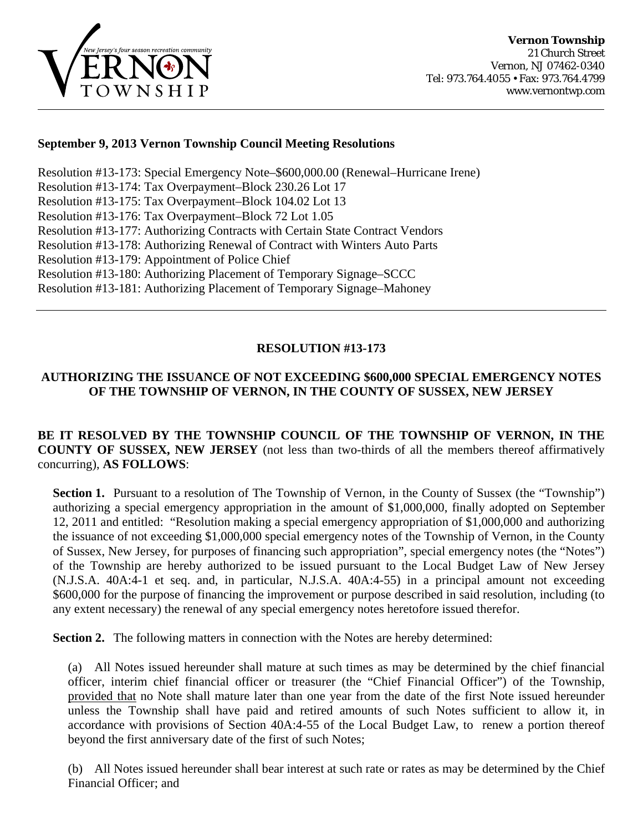

#### **September 9, 2013 Vernon Township Council Meeting Resolutions**

Resolution #13-173: Special Emergency Note–\$600,000.00 (Renewal–Hurricane Irene) [Resolution #13-174: Tax Overpayment–Block 230.26 Lot 17](#page-2-0)  [Resolution #13-175: Tax Overpayment–Block 104.02 Lot 13](#page-2-0)  [Resolution #13-176: Tax Overpayment–Block 72 Lot 1.05](#page-3-0)  [Resolution #13-177: Authorizing Contracts with Certain State Contract Vendors](#page-3-0) [Resolution #13-178: Authorizing Renewal of Contract with Winters Auto Parts](#page-4-0)  [Resolution #13-179: Appointment of Police Chief](#page-5-0)  [Resolution #13-180: Authorizing Placement of Temporary Signage–SCCC](#page-6-0)  [Resolution #13-181: Authorizing Placement of Temporary Signage–Mahoney](#page-6-0)

## **RESOLUTION #13-173**

#### **AUTHORIZING THE ISSUANCE OF NOT EXCEEDING \$600,000 SPECIAL EMERGENCY NOTES OF THE TOWNSHIP OF VERNON, IN THE COUNTY OF SUSSEX, NEW JERSEY**

#### **BE IT RESOLVED BY THE TOWNSHIP COUNCIL OF THE TOWNSHIP OF VERNON, IN THE COUNTY OF SUSSEX, NEW JERSEY** (not less than two-thirds of all the members thereof affirmatively concurring), **AS FOLLOWS**:

**Section 1.** Pursuant to a resolution of The Township of Vernon, in the County of Sussex (the "Township") authorizing a special emergency appropriation in the amount of \$1,000,000, finally adopted on September 12, 2011 and entitled: "Resolution making a special emergency appropriation of \$1,000,000 and authorizing the issuance of not exceeding \$1,000,000 special emergency notes of the Township of Vernon, in the County of Sussex, New Jersey, for purposes of financing such appropriation", special emergency notes (the "Notes") of the Township are hereby authorized to be issued pursuant to the Local Budget Law of New Jersey (N.J.S.A. 40A:4-1 et seq. and, in particular, N.J.S.A. 40A:4-55) in a principal amount not exceeding \$600,000 for the purpose of financing the improvement or purpose described in said resolution, including (to any extent necessary) the renewal of any special emergency notes heretofore issued therefor.

**Section 2.** The following matters in connection with the Notes are hereby determined:

(a) All Notes issued hereunder shall mature at such times as may be determined by the chief financial officer, interim chief financial officer or treasurer (the "Chief Financial Officer") of the Township, provided that no Note shall mature later than one year from the date of the first Note issued hereunder unless the Township shall have paid and retired amounts of such Notes sufficient to allow it, in accordance with provisions of Section 40A:4-55 of the Local Budget Law, to renew a portion thereof beyond the first anniversary date of the first of such Notes;

(b) All Notes issued hereunder shall bear interest at such rate or rates as may be determined by the Chief Financial Officer; and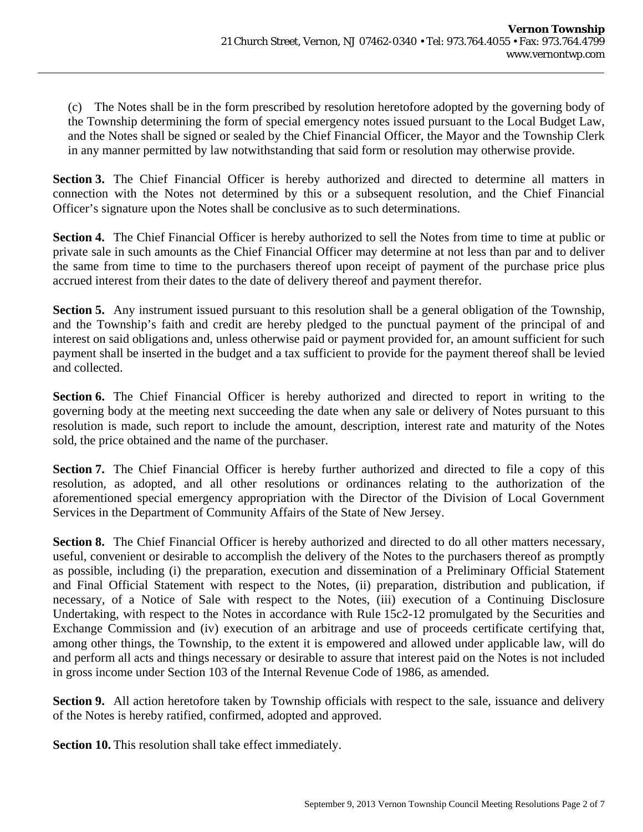(c) The Notes shall be in the form prescribed by resolution heretofore adopted by the governing body of the Township determining the form of special emergency notes issued pursuant to the Local Budget Law, and the Notes shall be signed or sealed by the Chief Financial Officer, the Mayor and the Township Clerk in any manner permitted by law notwithstanding that said form or resolution may otherwise provide.

**Section 3.** The Chief Financial Officer is hereby authorized and directed to determine all matters in connection with the Notes not determined by this or a subsequent resolution, and the Chief Financial Officer's signature upon the Notes shall be conclusive as to such determinations.

**Section 4.** The Chief Financial Officer is hereby authorized to sell the Notes from time to time at public or private sale in such amounts as the Chief Financial Officer may determine at not less than par and to deliver the same from time to time to the purchasers thereof upon receipt of payment of the purchase price plus accrued interest from their dates to the date of delivery thereof and payment therefor.

**Section 5.** Any instrument issued pursuant to this resolution shall be a general obligation of the Township, and the Township's faith and credit are hereby pledged to the punctual payment of the principal of and interest on said obligations and, unless otherwise paid or payment provided for, an amount sufficient for such payment shall be inserted in the budget and a tax sufficient to provide for the payment thereof shall be levied and collected.

Section 6. The Chief Financial Officer is hereby authorized and directed to report in writing to the governing body at the meeting next succeeding the date when any sale or delivery of Notes pursuant to this resolution is made, such report to include the amount, description, interest rate and maturity of the Notes sold, the price obtained and the name of the purchaser.

**Section 7.** The Chief Financial Officer is hereby further authorized and directed to file a copy of this resolution, as adopted, and all other resolutions or ordinances relating to the authorization of the aforementioned special emergency appropriation with the Director of the Division of Local Government Services in the Department of Community Affairs of the State of New Jersey.

**Section 8.** The Chief Financial Officer is hereby authorized and directed to do all other matters necessary, useful, convenient or desirable to accomplish the delivery of the Notes to the purchasers thereof as promptly as possible, including (i) the preparation, execution and dissemination of a Preliminary Official Statement and Final Official Statement with respect to the Notes, (ii) preparation, distribution and publication, if necessary, of a Notice of Sale with respect to the Notes, (iii) execution of a Continuing Disclosure Undertaking, with respect to the Notes in accordance with Rule 15c2-12 promulgated by the Securities and Exchange Commission and (iv) execution of an arbitrage and use of proceeds certificate certifying that, among other things, the Township, to the extent it is empowered and allowed under applicable law, will do and perform all acts and things necessary or desirable to assure that interest paid on the Notes is not included in gross income under Section 103 of the Internal Revenue Code of 1986, as amended.

**Section 9.** All action heretofore taken by Township officials with respect to the sale, issuance and delivery of the Notes is hereby ratified, confirmed, adopted and approved.

**Section 10.** This resolution shall take effect immediately.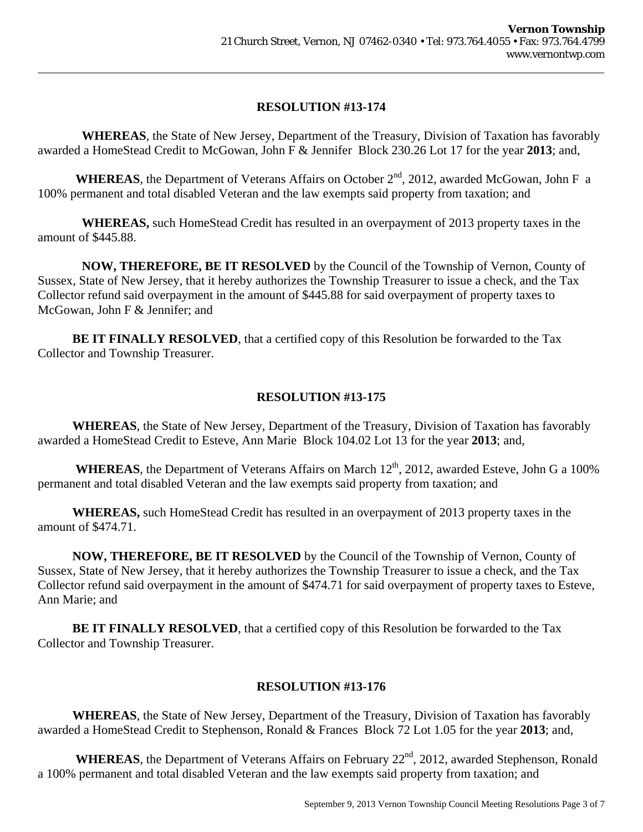<span id="page-2-0"></span> **WHEREAS**, the State of New Jersey, Department of the Treasury, Division of Taxation has favorably awarded a HomeStead Credit to McGowan, John F & Jennifer Block 230.26 Lot 17 for the year **2013**; and,

**WHEREAS**, the Department of Veterans Affairs on October  $2<sup>nd</sup>$ , 2012, awarded McGowan, John F a 100% permanent and total disabled Veteran and the law exempts said property from taxation; and

 **WHEREAS,** such HomeStead Credit has resulted in an overpayment of 2013 property taxes in the amount of \$445.88.

 **NOW, THEREFORE, BE IT RESOLVED** by the Council of the Township of Vernon, County of Sussex, State of New Jersey, that it hereby authorizes the Township Treasurer to issue a check, and the Tax Collector refund said overpayment in the amount of \$445.88 for said overpayment of property taxes to McGowan, John F & Jennifer; and

**BE IT FINALLY RESOLVED**, that a certified copy of this Resolution be forwarded to the Tax Collector and Township Treasurer.

## **RESOLUTION #13-175**

 **WHEREAS**, the State of New Jersey, Department of the Treasury, Division of Taxation has favorably awarded a HomeStead Credit to Esteve, Ann Marie Block 104.02 Lot 13 for the year **2013**; and,

WHEREAS, the Department of Veterans Affairs on March 12<sup>th</sup>, 2012, awarded Esteve, John G a 100% permanent and total disabled Veteran and the law exempts said property from taxation; and

 **WHEREAS,** such HomeStead Credit has resulted in an overpayment of 2013 property taxes in the amount of \$474.71.

 **NOW, THEREFORE, BE IT RESOLVED** by the Council of the Township of Vernon, County of Sussex, State of New Jersey, that it hereby authorizes the Township Treasurer to issue a check, and the Tax Collector refund said overpayment in the amount of \$474.71 for said overpayment of property taxes to Esteve, Ann Marie; and

**BE IT FINALLY RESOLVED**, that a certified copy of this Resolution be forwarded to the Tax Collector and Township Treasurer.

## **RESOLUTION #13-176**

 **WHEREAS**, the State of New Jersey, Department of the Treasury, Division of Taxation has favorably awarded a HomeStead Credit to Stephenson, Ronald & Frances Block 72 Lot 1.05 for the year **2013**; and,

WHEREAS, the Department of Veterans Affairs on February 22<sup>nd</sup>, 2012, awarded Stephenson, Ronald a 100% permanent and total disabled Veteran and the law exempts said property from taxation; and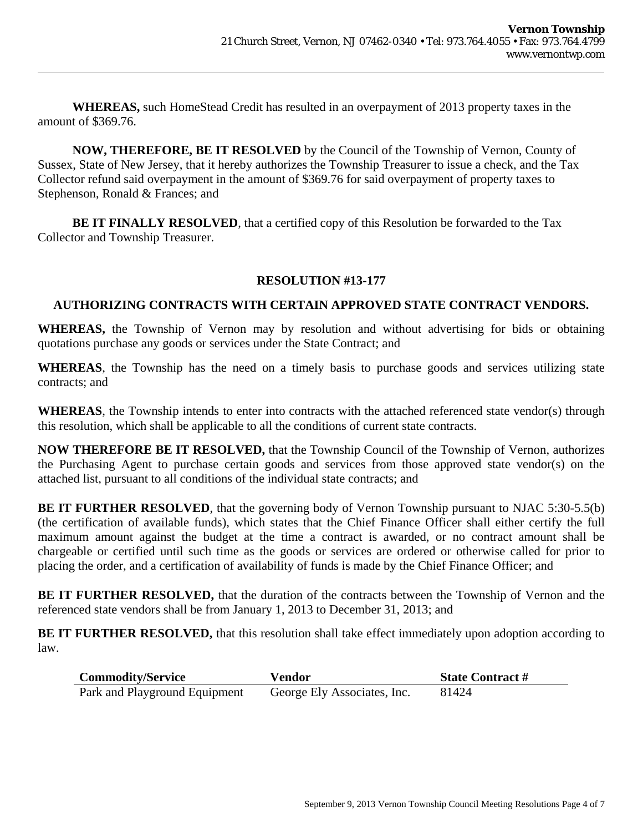<span id="page-3-0"></span> **WHEREAS,** such HomeStead Credit has resulted in an overpayment of 2013 property taxes in the amount of \$369.76.

 **NOW, THEREFORE, BE IT RESOLVED** by the Council of the Township of Vernon, County of Sussex, State of New Jersey, that it hereby authorizes the Township Treasurer to issue a check, and the Tax Collector refund said overpayment in the amount of \$369.76 for said overpayment of property taxes to Stephenson, Ronald & Frances; and

**BE IT FINALLY RESOLVED**, that a certified copy of this Resolution be forwarded to the Tax Collector and Township Treasurer.

#### **RESOLUTION #13-177**

#### **AUTHORIZING CONTRACTS WITH CERTAIN APPROVED STATE CONTRACT VENDORS.**

**WHEREAS,** the Township of Vernon may by resolution and without advertising for bids or obtaining quotations purchase any goods or services under the State Contract; and

**WHEREAS**, the Township has the need on a timely basis to purchase goods and services utilizing state contracts; and

**WHEREAS**, the Township intends to enter into contracts with the attached referenced state vendor(s) through this resolution, which shall be applicable to all the conditions of current state contracts.

**NOW THEREFORE BE IT RESOLVED,** that the Township Council of the Township of Vernon, authorizes the Purchasing Agent to purchase certain goods and services from those approved state vendor(s) on the attached list, pursuant to all conditions of the individual state contracts; and

**BE IT FURTHER RESOLVED**, that the governing body of Vernon Township pursuant to NJAC 5:30-5.5(b) (the certification of available funds), which states that the Chief Finance Officer shall either certify the full maximum amount against the budget at the time a contract is awarded, or no contract amount shall be chargeable or certified until such time as the goods or services are ordered or otherwise called for prior to placing the order, and a certification of availability of funds is made by the Chief Finance Officer; and

**BE IT FURTHER RESOLVED,** that the duration of the contracts between the Township of Vernon and the referenced state vendors shall be from January 1, 2013 to December 31, 2013; and

**BE IT FURTHER RESOLVED,** that this resolution shall take effect immediately upon adoption according to law.

| <b>Commodity/Service</b>      | <b>Vendor</b>               | <b>State Contract #</b> |
|-------------------------------|-----------------------------|-------------------------|
| Park and Playground Equipment | George Ely Associates, Inc. | 81424                   |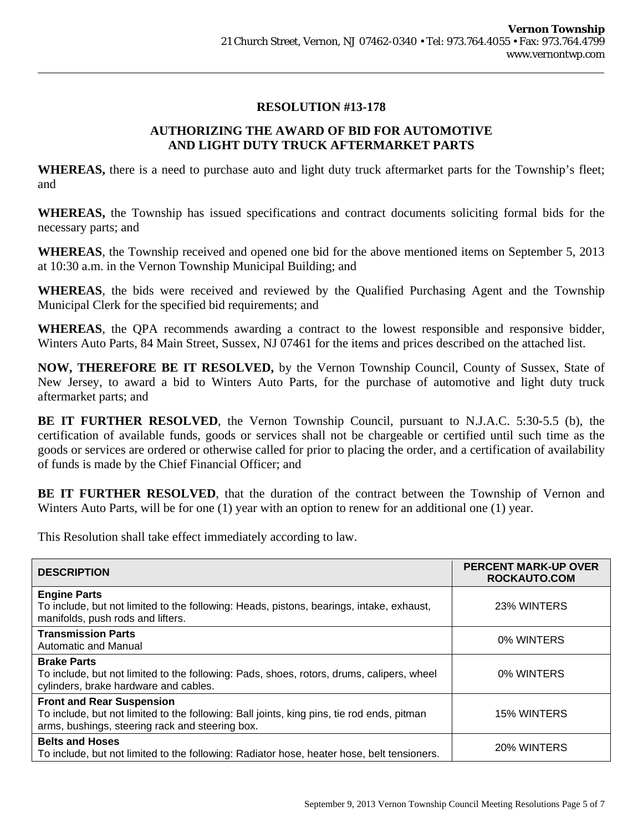## **AUTHORIZING THE AWARD OF BID FOR AUTOMOTIVE AND LIGHT DUTY TRUCK AFTERMARKET PARTS**

<span id="page-4-0"></span>**WHEREAS,** there is a need to purchase auto and light duty truck aftermarket parts for the Township's fleet; and

**WHEREAS,** the Township has issued specifications and contract documents soliciting formal bids for the necessary parts; and

**WHEREAS**, the Township received and opened one bid for the above mentioned items on September 5, 2013 at 10:30 a.m. in the Vernon Township Municipal Building; and

**WHEREAS**, the bids were received and reviewed by the Qualified Purchasing Agent and the Township Municipal Clerk for the specified bid requirements; and

**WHEREAS**, the QPA recommends awarding a contract to the lowest responsible and responsive bidder, Winters Auto Parts, 84 Main Street, Sussex, NJ 07461 for the items and prices described on the attached list.

**NOW, THEREFORE BE IT RESOLVED,** by the Vernon Township Council, County of Sussex, State of New Jersey, to award a bid to Winters Auto Parts, for the purchase of automotive and light duty truck aftermarket parts; and

**BE IT FURTHER RESOLVED**, the Vernon Township Council, pursuant to N.J.A.C. 5:30-5.5 (b), the certification of available funds, goods or services shall not be chargeable or certified until such time as the goods or services are ordered or otherwise called for prior to placing the order, and a certification of availability of funds is made by the Chief Financial Officer; and

**BE IT FURTHER RESOLVED**, that the duration of the contract between the Township of Vernon and Winters Auto Parts, will be for one (1) year with an option to renew for an additional one (1) year.

This Resolution shall take effect immediately according to law.

| <b>DESCRIPTION</b>                                                                                                                                                                | <b>PERCENT MARK-UP OVER</b><br><b>ROCKAUTO.COM</b> |
|-----------------------------------------------------------------------------------------------------------------------------------------------------------------------------------|----------------------------------------------------|
| <b>Engine Parts</b><br>To include, but not limited to the following: Heads, pistons, bearings, intake, exhaust,<br>manifolds, push rods and lifters.                              | 23% WINTERS                                        |
| <b>Transmission Parts</b><br>Automatic and Manual                                                                                                                                 | 0% WINTERS                                         |
| <b>Brake Parts</b><br>To include, but not limited to the following: Pads, shoes, rotors, drums, calipers, wheel<br>cylinders, brake hardware and cables.                          | 0% WINTERS                                         |
| <b>Front and Rear Suspension</b><br>To include, but not limited to the following: Ball joints, king pins, tie rod ends, pitman<br>arms, bushings, steering rack and steering box. | 15% WINTERS                                        |
| <b>Belts and Hoses</b><br>To include, but not limited to the following: Radiator hose, heater hose, belt tensioners.                                                              | 20% WINTERS                                        |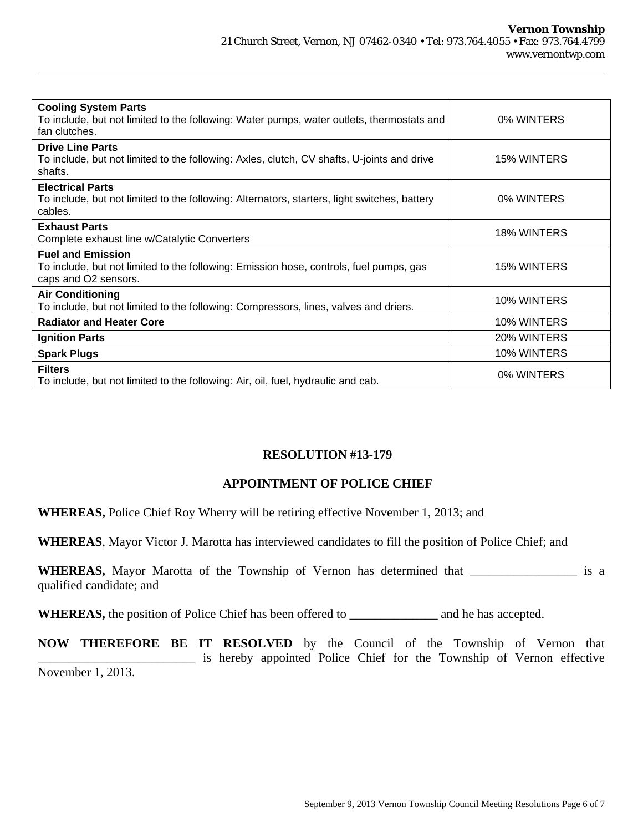<span id="page-5-0"></span>

| <b>Cooling System Parts</b><br>To include, but not limited to the following: Water pumps, water outlets, thermostats and<br>fan clutches.  | 0% WINTERS  |
|--------------------------------------------------------------------------------------------------------------------------------------------|-------------|
| <b>Drive Line Parts</b><br>To include, but not limited to the following: Axles, clutch, CV shafts, U-joints and drive<br>shafts.           | 15% WINTERS |
| <b>Electrical Parts</b><br>To include, but not limited to the following: Alternators, starters, light switches, battery<br>cables.         | 0% WINTERS  |
| <b>Exhaust Parts</b><br>Complete exhaust line w/Catalytic Converters                                                                       | 18% WINTERS |
| <b>Fuel and Emission</b><br>To include, but not limited to the following: Emission hose, controls, fuel pumps, gas<br>caps and O2 sensors. | 15% WINTERS |
| <b>Air Conditioning</b><br>To include, but not limited to the following: Compressors, lines, valves and driers.                            | 10% WINTERS |
| <b>Radiator and Heater Core</b>                                                                                                            | 10% WINTERS |
| <b>Ignition Parts</b>                                                                                                                      | 20% WINTERS |
| <b>Spark Plugs</b>                                                                                                                         | 10% WINTERS |
| <b>Filters</b><br>To include, but not limited to the following: Air, oil, fuel, hydraulic and cab.                                         | 0% WINTERS  |

#### **APPOINTMENT OF POLICE CHIEF**

**WHEREAS,** Police Chief Roy Wherry will be retiring effective November 1, 2013; and

**WHEREAS**, Mayor Victor J. Marotta has interviewed candidates to fill the position of Police Chief; and

**WHEREAS,** Mayor Marotta of the Township of Vernon has determined that \_\_\_\_\_\_\_\_\_\_\_\_\_\_\_\_\_ is a qualified candidate; and

WHEREAS, the position of Police Chief has been offered to \_\_\_\_\_\_\_\_\_\_\_\_\_\_\_\_ and he has accepted.

**NOW THEREFORE BE IT RESOLVED** by the Council of the Township of Vernon that \_\_\_\_\_\_\_\_\_\_\_\_\_\_\_\_\_\_\_\_\_\_\_\_\_ is hereby appointed Police Chief for the Township of Vernon effective November 1, 2013.